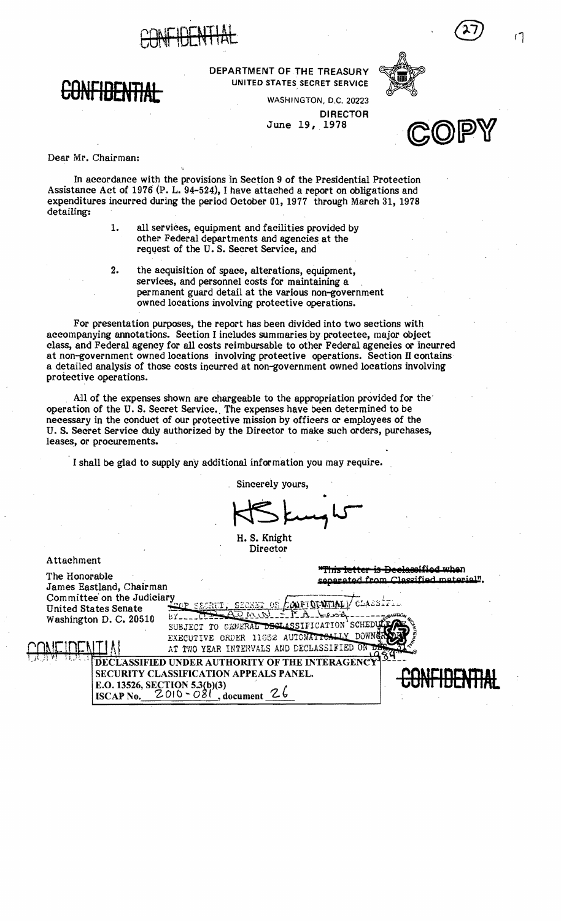



DEPARTMENT OF THE TREASURY UNITED STATES SECRET SERVICE



WASHINGTON. D,C, 20223

June 19, 1978 DIRECTOR



Dear Mr. Chairman:

In accordance with the provisions 'in Section 9 of the Presidential Protection Assistance Act of 1976' (P. L. 94-524), I have attached a report on obligations and expenditures incurred during the period October 01, 1977 through March 31, 1978 detailing:

- 1. all services, equipment and facilities provided by other Federal departments and agencies at the request of the U.S. Secret Service, and
- 2. the acquisition of space, alterations, equipment, services, and personnel costs for maintaining a permanent guard detail at the various non-government owned locations involving protective operations.

For presentation purposes, the report has been divided into two sections with accompanying annotations. Section I includes summaries by protectee, major object class, and Federal agency for all costs reimbursable to other Federal agencies or incurred at non-government owned locations involving protective operations. Section II contains a detailed analysis of those costs incurred at non-government owned locations involving protective operations.

All of the expenses shown are chargeable to the appropriation provided for the' operation of the U. S. Secret Service., The expenses have been determined to be necessary in the conduct of our protective mission by officers or employees of the U. S. Secret Service duly authorized by the Director to make such orders, purchases, leases, or procurements.

I shall be glad to supply any additional information you may require.

Sincerely yours,

H. S. Knight Director

Attachment **Attachment** 

Committee' on the Judiciary ".\_PP'.,., ,,..: c:-:::.--::---'-'±.,. *;.:1-;, .* United States Senate Washington D. C. 20510  $bY$ -

"This letter is Declassified when The Honorable separated from Classified material".<br>James Eastland, Chairman National Separated from Classified material".

SUBJECT TO GENERAL DECLASSIFICATION SCHE EXECUTIVE ORDER 11352 AUTOMATICATIV<br>AT TWO YEAR INTERVALS AND DECLASSIFIED

ECLASSIFIED UNDER AUTHORITY OF THE INTERAGENC SECURITY CLASSIFICATION APPEALS PANEL. **E.O. 13526, SECTION 5.3(b)(3)**<br>**ISCAP No.** 2010 - 081, document  $ISCAP No. 2010 - 081$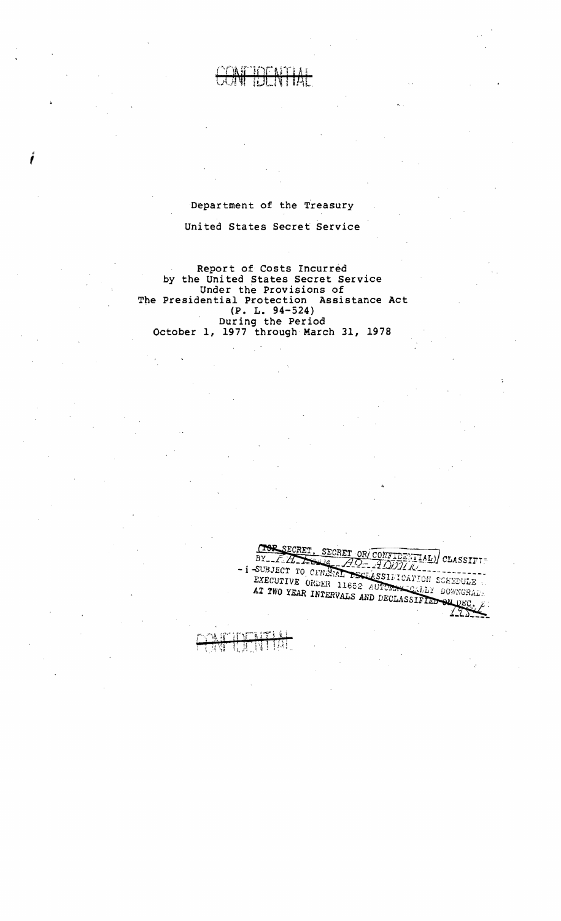#### Department of the Treasury

f

#### United States Secret Service

Report of Costs Incurred by the United States Secret Service Under the Provisions of The Presidential Protection Assistance Act (P. L. 94-524) During the Period October 1, 1977 through March 31, 1978

SECRET, SECRET OR CONFIDENTIAL) CLASSIFIT  $T<sub>0</sub>$ BY-24-ASSERT OR CONFIDENTIAL) CL - i SUBJECT TO CENERAL DECLASSIFICATION SCHEDULE EXECUTIVE ORDER 11652 AUTOMAKES CALLY DOWNGRAD.<br>AT TWO YEAR INTERVALS AND DECLARED DOWNGRAD. AT TWO YEAR INTERVALS AND DECLASSIFIED ON DEC.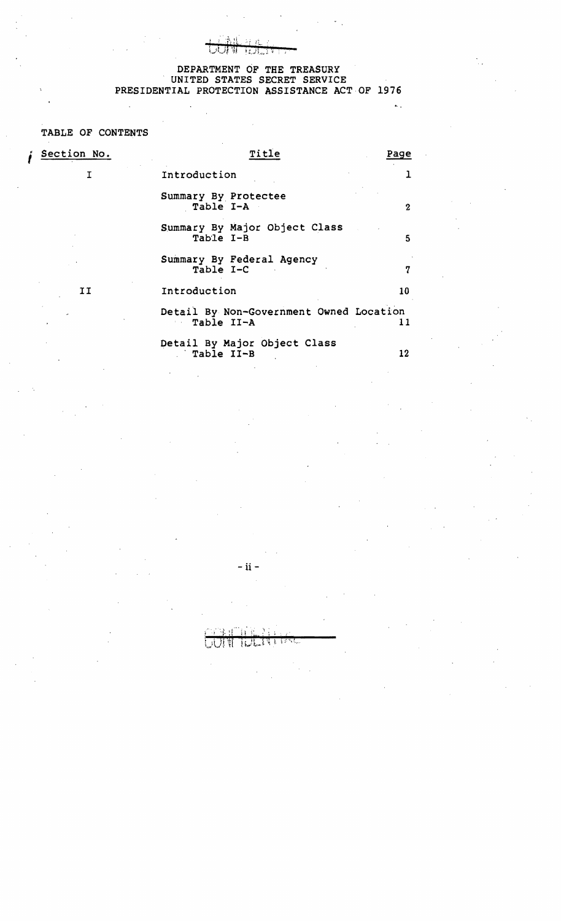## DEPARTMENT OF THE TREASURY UNITED STATES SECRET SERVICE PRESIDENTIAL PROTECTION ASSISTANCE ACT OF 1976

 $\ddot{\mathbf{r}}$ 

#### TABLE OF CONTENTS

 $\ddot{\phantom{a}}$ 

| Section No. | Title                                                 | Page |
|-------------|-------------------------------------------------------|------|
| т           | Introduction                                          |      |
|             | Summary By Protectee<br>Table I-A                     | 2    |
|             | Summary By Major Object Class<br>Table I-B            | 5    |
|             | Summary By Federal Agency<br>Table I-C                | 7    |
| IJ          | Introduction                                          | 10   |
|             | Detail By Non-Government Owned Location<br>Table II-A | 11   |
|             | Detail By Major Object Class<br>Table II-B            | 12   |

-ii

主义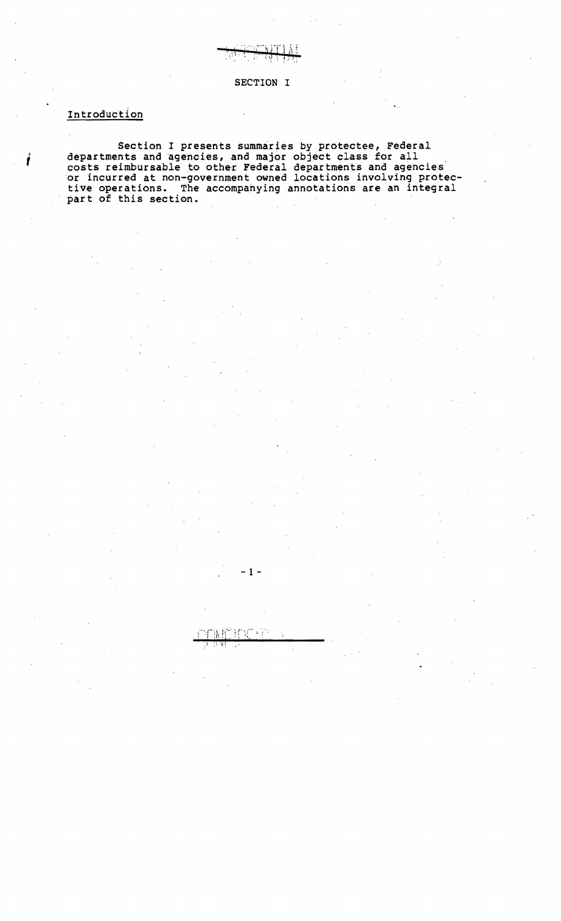SECTION I

## Introduction

*i* 

Section I presents summaries by protectee, Federal departments and agencies, and major object class for all costs reimbursable to other Federal departments and agencies or incurred at non-government owned locations involving protective operations. The accompahying annotations are an integral part of this section.

 $-1$  -

ប្រាំ ៖ }ំ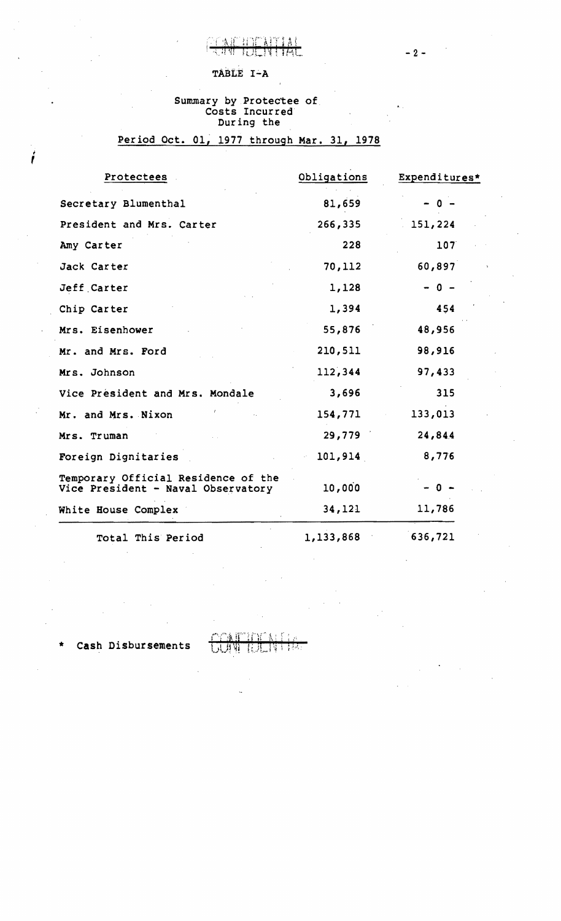## TABLE I-A

# Summary by Protectee of .. Costs Incurred During the

## Period Oct. 01, 1977 through Mar. 31, 1978

| Protectees                                                                | Obligations | Expenditures* |
|---------------------------------------------------------------------------|-------------|---------------|
| Secretary Blumenthal                                                      | 81,659      | - 0           |
| President and Mrs. Carter                                                 | 266,335     | 151,224       |
| Amy Carter                                                                | 228         | 107           |
| Jack Carter                                                               | 70,112      | 60,897        |
| Jeff Carter                                                               | 1,128       | $-0 -$        |
| Chip Carter                                                               | 1,394       | 454           |
| Mrs. Eisenhower                                                           | 55,876      | 48,956        |
| Mr. and Mrs. Ford                                                         | 210,511     | 98,916        |
| Mrs. Johnson                                                              | 112,344     | 97,433        |
| Vice Président and Mrs. Mondale                                           | 3,696       | 315           |
| Mr. and Mrs. Nixon                                                        | 154,771     | 133,013       |
| Mrs. Truman                                                               | 29,779      | 24,844        |
| Foreign Dignitaries                                                       | 101,914     | 8,776         |
| Temporary Official Residence of the<br>Vice President - Naval Observatory | 10,000      | 0 -           |
| White House Complex                                                       | 34,121      | 11,786        |
| Total This Period                                                         | 1,133,868   | 636,721       |

Cash Disbursements

I

*t* 

 $-2-$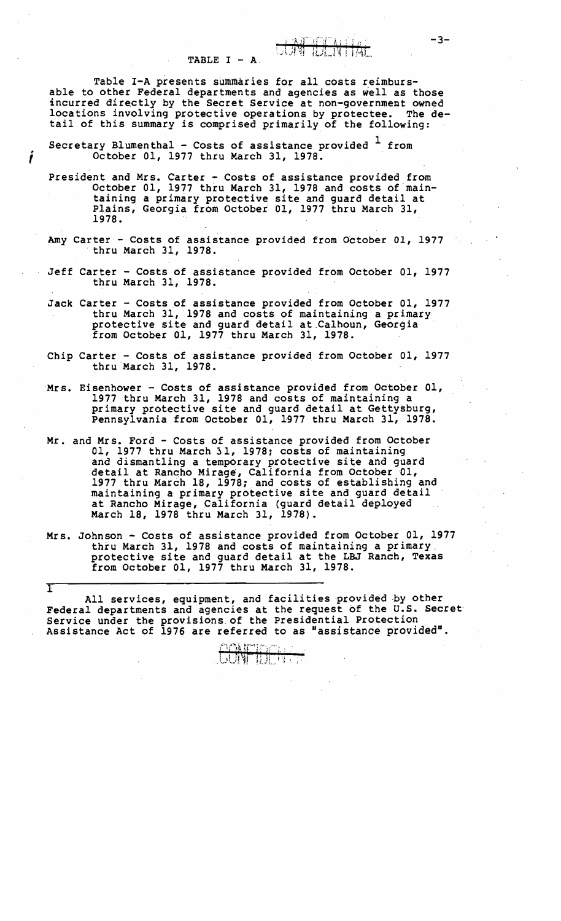TABLE  $I - A$ .

Table I-A presents summaries for all costs reimbursable to other Federal departments and agencies as well as those incurred directly by the Secret Service at non-government owned locations involving protective operations by protectee. The detail of this summary is comprised primarily of the following:

Secretary Blumenthal - Costs of assistance provided  $\frac{1}{1}$  from 0ctober 01, 1977 thru March 31, 1978.

I

 $\overline{\mathrm{T}}$ 

- President and Mrs. Carter Costs of assistance provided from October 01, 1977 thru March 31, 1978 and costs of maintaining a primary protective site and guard detail at Plains, Georgia from Octobet 01, 1977 thru March 31, 1978.
- Amy Carter Costs of assistance provided from October 01, 1977 thru March 31, 1978.
- Jeff Carter Costs of assistance provided from October 01, 1977 thru March 31, 1978.
- Jack Carter Costs of assistance provided from October 01, 1977 thru March 31, '1978 and costs of maintaining a primary protective site and guard detail at.Calhoun, Georgia from October 01, 1977 thru March 31, 1978.
- Chip Carter Costs of assistance provided from October 01, 1977 thru March 31, 1978.
- Mrs. Eisenhower Costs of assistance provided from October 01, 1977 thru March 31, 1978 and costs of maintaining a primary protective site and guard detail at Gettysburg, Pennsylvania from October 01, 1977 thru March 31, 1978.
- Mr. and Mrs. Ford Costs of assistance provided from October 01, 1977 thru March 31, 1978: costs of maintaining and dismantling a temporary protective site and guard detail at Ranqho Mirage, California from October 01, 1977 thru March 18, 1978; and costs of establishing and maintaining a primary protective site and guard detail at Rancho Mirage, California (quard detail deployed March 18, 1978 thru March 31, 1978).
- Mrs. Johnson Costs of assistance provided from October 01, 1977 thru March 31, 1978 and costs of maintaining a primary. protective site and guard detail at the LBJ Ranch, Texas from October 01, 1977 thru March 31, 1978.

All services, equipment, and facilities provided by other Federal departments and agencies at the request of the U.S. Secret Service under the provisions. of the presidential Protection Assistance Act of  $1976$  are referred to as "assistance provided".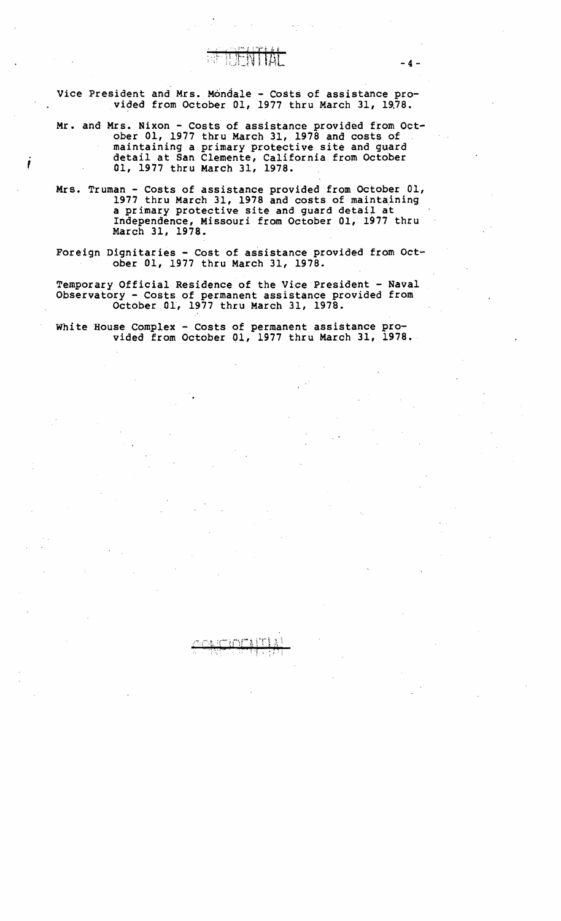Vice President and Mrs. Mondale - Costs of assistance provided from October 01, 1977 thru March 31, 1978.

 $-4-$ 

- Mr. and Mrs. Nixon Costs of assistance provided from October 01, 1977 thru March 31, 1978 and costs of maintaining a primary protective site and guard<br>detail at San Clemente, California from October<br>01, 1977 thru March 31, 1978.
- Mrs. Truman Costs of assistance provided from October 01, 1977 thru March 31, 1978 and costs of maintaining a primary protective site and guard detail at Independence, Missouri from October 01, 1977 thru March 31, 1978. .
- Foreign Dignitaries Cost of assistance provided from October 01, 1977 thru March 31, 1978.

Temporary Official Residence of the Vice President - Naval Observatory - Costs of permanent assistance provided from October 01, 1977 thru March 31, 1978.

White House Complex - Costs of permanent assistance pro-<br>vided from October 01, 1977 thru March 31, 1978.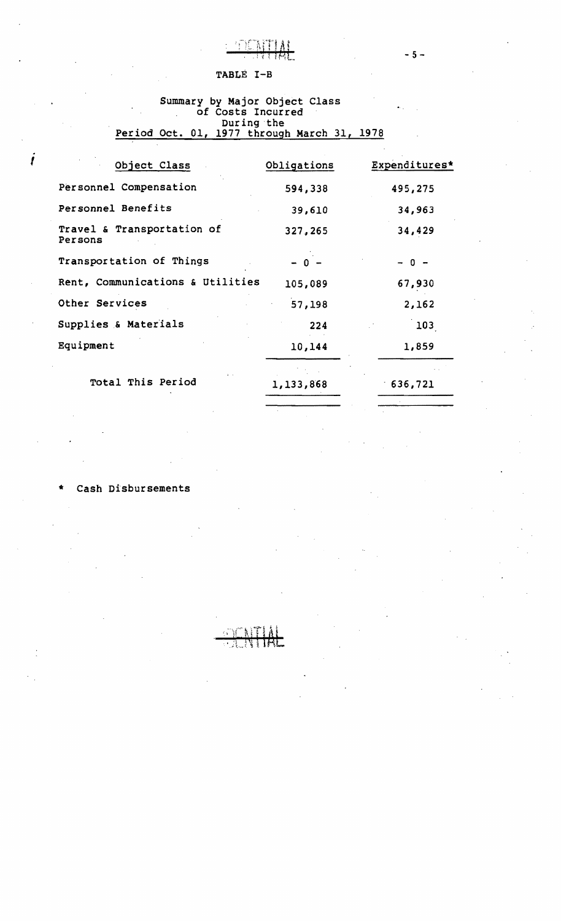

 $-5 -$ 

#### TABLE I-B

#### Summary by Major Object Class of Costs Incurred During the Period Oct. 01, 1977 through March 31, 1978

| Object Class                          | Obligations | Expenditures* |
|---------------------------------------|-------------|---------------|
| Personnel Compensation                | 594,338     | 495,275       |
| Personnel Benefits                    | 39,610      | 34,963        |
| Travel & Transportation of<br>Persons | 327,265     | 34,429        |
| Transportation of Things              | $-0 -$      | $0 -$         |
| Rent, Communications & Utilities      | 105,089     | 67,930        |
| Other Services                        | 57,198      | 2,162         |
| Supplies & Materials                  | 224         | 103           |
| Equipment                             | 10,144      | 1,859         |
| Total This Period                     | 1,133,868   | 636,721       |

#### Cash Disbursements

I

.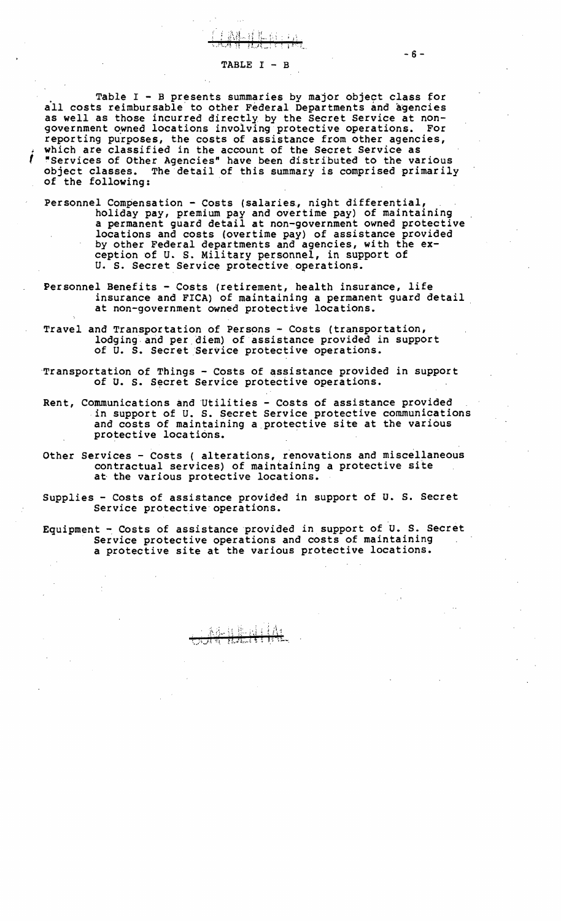#### TABLE I - B

武乱 过起 的一口

Table I - B presents summaries by major object class for a'll costs reimbursable to other Federal Departments and agencies as well as those incurred directly by the Secret Service at nongovernment owned locations involving protective operations. For<br>reporting purposes, the costs of assistance from other agencies, which are classified in the account of the Secret Service as<br>"Services of Other Agencies" have been distributed to the various object classes. The detail of this summary is comprised primarily of the following:

- Personnel Compensation Costs (salaries, night differential, holiday pay, premium pay and overtime pay) of maintaining a permanent guard detail at non-government owned protective locations and costs (overtime pay) of assistance provided by other Federal departments and agencies, with the exby other Federal departments and agencies, with the ex-<br>ception of U. S. Military personnel, in support of U. S. Secret Service protective operations.
- Personnel Benefits Costs (retirement, health insurance, life insurance and FICA) of maintaining a permanent guard detail at non-government owned protective locations. .
- Travel and Transportation of Persons Costs (transportation, lodging arid per.diem) of assistance provided in support of U. S. Secret Service protective operations.
- Transportation of Things Costs of assistance provided in support of U. S. Secret Service protective operations.
- Rent, Communications and Utilities Costs of assistance provided in support of U. S. Secret Service protective communications and costs of maintaining a protective site at the various protective locations.
- Other Services Costs ( alterations, renovations and miscellaneous contractual services) of maintaining a protective site at the various protective locations.
- Supplies Costs of assistance provided in support of U. S. Secret Service protective operations.

Equipment - Costs of assistance provided in support of U. S. Secret<br>Service protective operations and costs of maintaining<br>a protective site at the various protective locations.

标准制出机 **Elections** 8 5 30

 $-6 -$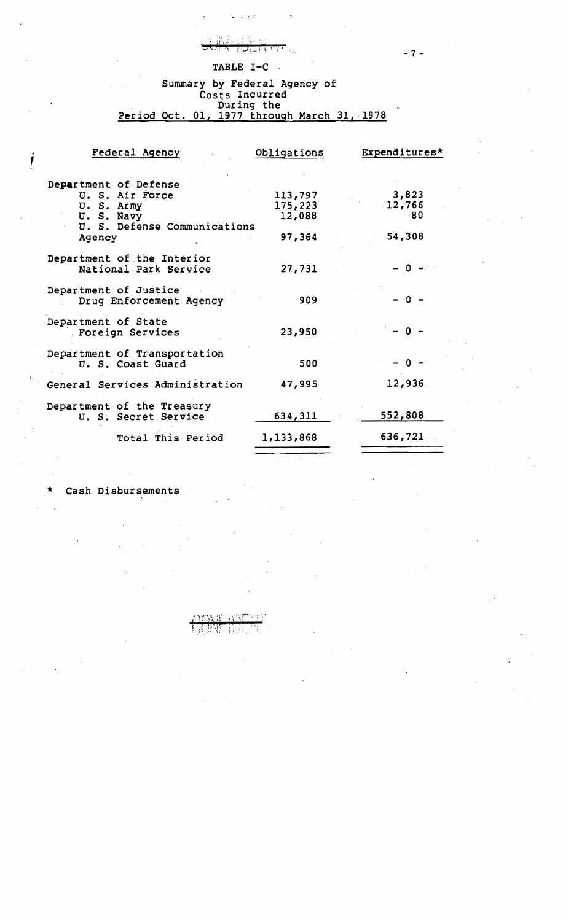#### TABLE I-C

FRIESTRAN

प्राप्त

 $\omega = \omega \rightarrow \omega \tau$ 

#### Summary by Federal Agency of Costs Incurred During the  $\frac{1}{2}$ Period Oct. 01, 1977 through March 31,-1978

 $1656$  and  $8.317\%$ 

| Federal Agency                                      | Obligations        | Expenditures* |
|-----------------------------------------------------|--------------------|---------------|
| Department of Defense<br>U. S. Air Force            |                    | 3,823         |
| U.S. Army                                           | 113,797<br>175,223 | 12,766        |
| U.S. Navy<br>U. S. Defense Communications           | 12,088             | -80           |
| Agency                                              | 97,364             | 54,308        |
| Department of the Interior<br>National Park Service | 27,731             | -0            |
| Department of Justice<br>Drug Enforcement Agency    | 909                | - 0 -         |
| Department of State<br>. Foreign Services           | 23,950             | - 0 -         |
| Department of Transportation<br>U. S. Coast Guard   | 500                | 0 –           |
| General Services Administration                     | 47,995             | 12,936        |
| Department of the Treasury<br>U. S. Secret Service  | 634,311            | 552,808       |
| Total This Period                                   | 1,133,868          | 636,721       |
|                                                     |                    |               |

र न प्रश

Ĥ

#### Cash Disbursements

 $-7-$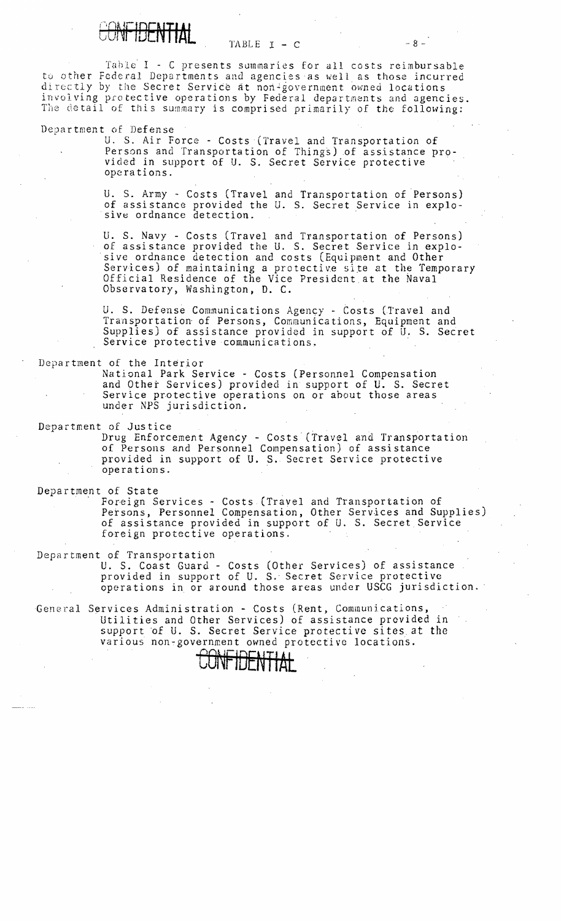

 $TABLE I - C$   $-8$  -

Table I - C presents summaries for all costs reimbursable to other Federal Departments and agencies as well as those incurred directly by the Secret Service at non-government owned locations involving protective operations by Federal departments and agencies. The detail of this summary is comprised primarily of the following:

Department of Defense

U. S. Air Force - Costs (Travel and Transportation of Persons and Transportation of Things) of assistance provided in support of U. S. Secret Service protective<br>operations.

U. S. Army - Costs (Travel and Transportation of Persons) of assistance provided the U. S. Secret Service in explo-<br>sive ordnance detection.

U. S. Navy - Costs (Travel and Transportation of Persons) of assistance provided the U. S. Secret Service in explosive ordnance detection and costs (Equipment and Other Services) of maintaining a protective site at the Temporary Official Residence of the Vice President at the Naval Observatory, Washington, D. C. .

U. S. Defense Communications Agency - Costs (Travel and Transportation of Persons, Communications, Equipment and Supplies) of assistance provided in support of U. S. Secret Service protective communications.

Department of the Interior

National Park Service - Costs (Personnel Compensation and Other Services) provided in support of U. S. Secret Service protective operations on or about those areas under NPS jurisdiction. Supplies) of assistance provided in support of U.S. Secre<br>Service protective communications.<br>Department of the Interior<br>Mational Park Service - Costs (Personnel Compensation<br>and Other Services) provided in support of U.S.

Drug Enforcement Agency - Costs (Travel and Transportation of Persons and Personnel Compensation) of assistance provided in support of U. S. Secret Service protective operations. .

Department of State<br>Foreign Services – Costs (Travel and Transportation of Persons, Personnel Compensation, Other Services and Supplies) of assistance provided in support of U. S. Secret. Service foreign protective operations.

Department of Transportation

U. S. Coast Guard - Costs (Other Services) of assistance provided in support of U. S. Secret Service protective operations in or around those areas under USCG jurisdiction.

General Services Administration - Costs (Rent, Communications, Utilities and Other Services) of assistance provided in support of U. S. Secret Service protective sites at the various non~government owned protective locations.

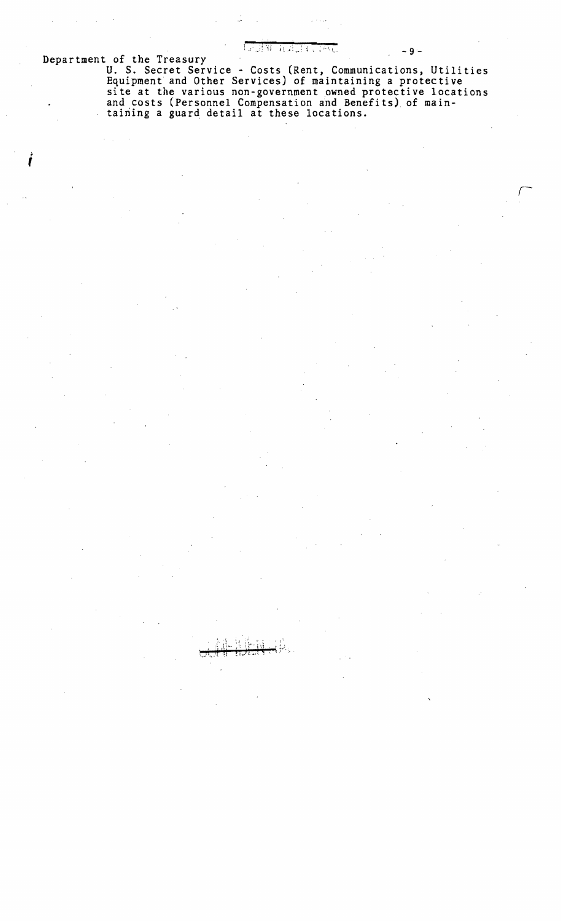AN ALEANA

 $-9 -$ 

Department of the Treasury

U. S. Secret Service - Costs (Rent, Communications, Utilities<br>Equipment and Other Services) of maintaining a protective<br>site at the various non-government owned protective locations<br>and costs (Personnel Compensation and Be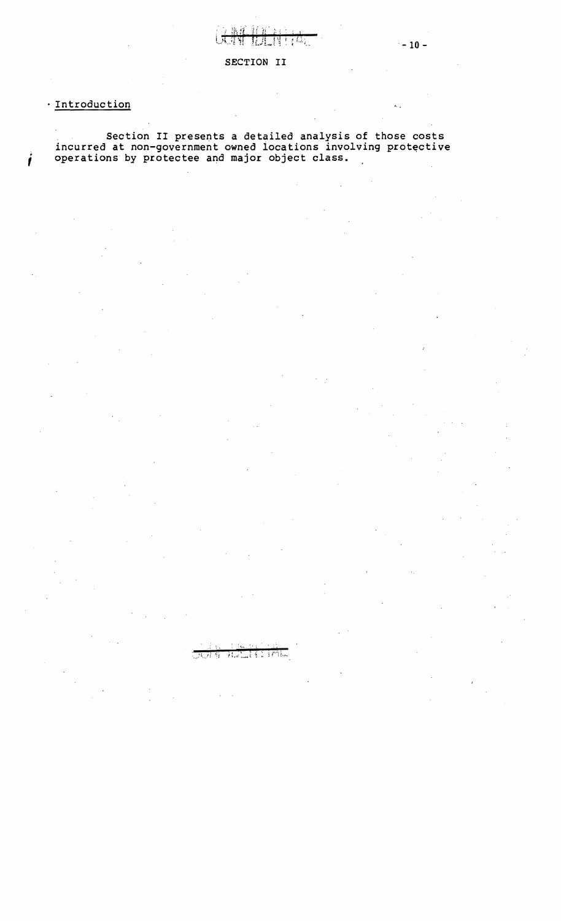## Introduction

Section II presents a detailed analysis of those costs incurred at non-government owned locations involving protective j operations by protectee and major object class.

# ALALLA E CORPORA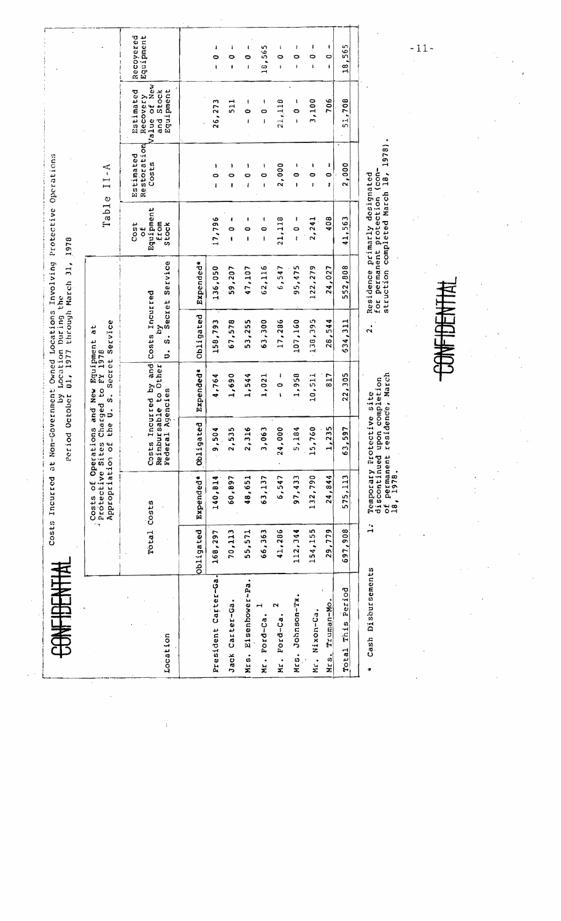| <b>CONFIDENTIA</b>     |            | Costs Incurred                            | Period October                                            | $\mathbf{\hat{z}}$                                    | Location During the              | at Non-Government Owned Locations Involving Protective Operations<br>01, 1977 through March 31,  | 1978                                                     |                                          |                                                                    |                                |
|------------------------|------------|-------------------------------------------|-----------------------------------------------------------|-------------------------------------------------------|----------------------------------|--------------------------------------------------------------------------------------------------|----------------------------------------------------------|------------------------------------------|--------------------------------------------------------------------|--------------------------------|
|                        |            | Appropriation of<br>* Protective<br>Costs | the U.<br>of Operations<br>Sites                          | FY 1978<br>Charged to<br>New<br>$\ddot{\circ}$<br>and | Secret Service<br>đ<br>Bquipment |                                                                                                  |                                                          | Table II-A                               |                                                                    |                                |
| Location               |            | Total Costs                               | Federal<br>Costs                                          | Incurred by and<br>Reimbursable to Other<br>Agencies  | Costs Incurred<br>à<br>ຜ່<br>s   | Secret Service                                                                                   | Equipment<br>from<br>Cost<br>Stock<br>$\frac{1}{\sigma}$ | Restoration<br><b>Estimated</b><br>Costs | Value of New<br>Estimated<br>Equipment<br>Stock<br>Recovery<br>and | Recovered<br>Equipment         |
|                        | Obligated  | Expended*                                 | Obligated                                                 | Expended*                                             | Obligated                        | <b>Expended*</b>                                                                                 |                                                          |                                          |                                                                    |                                |
| President Carter-Ga.   | 168,297    | 140,814                                   | ÷<br>9,50                                                 | 4,764                                                 | 158,793                          | 136,050                                                                                          | 17,796                                                   | 1<br>$\circ$<br>$\mathbf{I}$             | 26,273                                                             | ı<br>$\bullet$<br>$\mathbf{I}$ |
| Jack Carter-Ga         | 70,113     | 60,897                                    | 2,535                                                     | 1,690                                                 | 67,578                           | 59,207                                                                                           | ı<br>$\bullet$<br>$\mathbf{f}$                           | 1<br>0<br>f                              | 511                                                                | ı<br>$\circ$<br>$\bullet$      |
| Eisenhower-Pa.<br>Mrs. | 55,571     | 48,651                                    | 2,316                                                     | 1,544                                                 | 53,255                           | 47,107                                                                                           | ŧ<br>$\circ$<br>$\mathbf{I}$                             | ı<br>0<br>ł                              | 4<br>Ò<br>ı                                                        | 1<br>0<br>I                    |
| ⊣<br>Mr. Pord-Ca       | 66,363     | 63,137                                    | 3,063                                                     | 1,021                                                 | 63,300                           | 62,116                                                                                           | 1<br>۰<br>ł                                              | ł<br>0<br>$\mathbf{I}$                   | 1<br>$\bullet$<br>ł                                                | 18,565                         |
| Ford-Ca.<br>Mr.        | 41,286     | 6,547                                     | 24,000                                                    | ł<br>$\bullet$<br>f,                                  | 17,286                           | 6, 547                                                                                           | 21,118                                                   | 2,000                                    | 21,118                                                             | $\mathbf{I}$<br>0<br>ł.        |
| Mrs. Johnson-Tx.       | 112,344    | 97,433                                    | 5,184                                                     | 1,958                                                 | 107,160                          | 95,475                                                                                           | ł<br>$\circ$<br>ł                                        | ı<br>0<br>ŧ                              | ļ<br>$\circ$<br>ł                                                  | ŧ<br>Ó<br>ł                    |
| Mr. Nixon-Ca.          | 154,155    | 132,790                                   | 15,760                                                    | 10,511                                                | 138,395                          | 122,279                                                                                          | 2,241                                                    | ı<br>o<br>I                              | 3,100                                                              | ļ<br>$\bullet$<br>ı            |
| Mrs. Truman-Mo         | 29,779     | 24,844                                    | 35<br>$\frac{1}{2}$                                       | 817                                                   | 28,544                           | 24,027                                                                                           | 408                                                      | ı<br>0<br>ł.                             | 706                                                                | 0<br>ŧ                         |
| This Period<br>Total   | 697,908    | 575,113                                   | 5<br>63,51                                                | 22,305                                                | 634,311                          | 552,808                                                                                          | 41,563                                                   | 2,000                                    | 51,708                                                             | 18,565                         |
| Cash Disoursements     | $\ddot{ }$ | of permanent<br>18, 1978.                 | discontinued upon completion<br>Temporary Protective site | residence, March                                      | $\ddot{\mathbf{a}}$              | for permanent protection (con-<br>struction completed March 18,<br>Residence primarly designated |                                                          | 1978)                                    |                                                                    |                                |

 $-11-$ 

丰